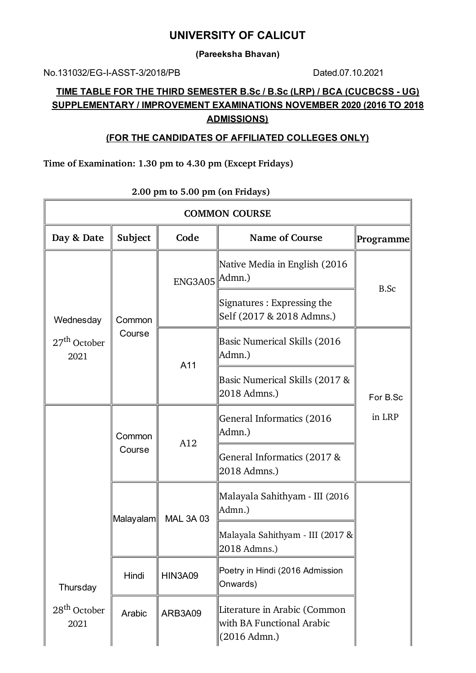## **UNIVERSITY OF CALICUT**

**(Pareeksha Bhavan)**

No.131032/EG-I-ASST-3/2018/PB Dated.07.10.2021

 $\overline{1}$ 

## **TIME TABLE FOR THE THIRD SEMESTER B.Sc / B.Sc (LRP) / BCA (CUCBCSS - UG) SUPPLEMENTARY / IMPROVEMENT EXAMINATIONS NOVEMBER 2020 (2016 TO 2018 ADMISSIONS)**

## **(FOR THE CANDIDATES OF AFFILIATED COLLEGES ONLY)**

#### **Time of Examination: 1.30 pm to 4.30 pm (Except Fridays)**

| <b>COMMON COURSE</b>             |             |                  |                                                                           |                  |  |  |
|----------------------------------|-------------|------------------|---------------------------------------------------------------------------|------------------|--|--|
| Day & Date                       | Subject     | Code             | Name of Course                                                            | <b>Programme</b> |  |  |
| Wednesday                        |             | ENG3A05   Admn.) | Native Media in English (2016                                             | <b>B.Sc</b>      |  |  |
|                                  | Common      |                  | Signatures: Expressing the<br>Self (2017 & 2018 Admns.)                   |                  |  |  |
| $27th$ October<br>2021           | Course      | A11              | <b>Basic Numerical Skills (2016</b><br>Admn.)                             |                  |  |  |
|                                  |             |                  | Basic Numerical Skills (2017 &<br>2018 Admns.)                            | For B.Sc         |  |  |
|                                  | Common      | A12              | General Informatics (2016<br>Admn.)                                       | in LRP           |  |  |
|                                  | Course      |                  | General Informatics (2017 &<br>2018 Admns.)                               |                  |  |  |
|                                  | ∣Malayalam∥ | <b>MAL 3A 03</b> | Malayala Sahithyam - III (2016<br>Admn.)                                  |                  |  |  |
|                                  |             |                  | Malayala Sahithyam - III (2017 &<br>2018 Admns.)                          |                  |  |  |
| Thursday                         | Hindi       | <b>HIN3A09</b>   | Poetry in Hindi (2016 Admission<br>Onwards)                               |                  |  |  |
| 28 <sup>th</sup> October<br>2021 | Arabic      | ARB3A09          | Literature in Arabic (Common<br>with BA Functional Arabic<br>(2016 Admn.) |                  |  |  |

## **2.00 pm to 5.00 pm (on Fridays)**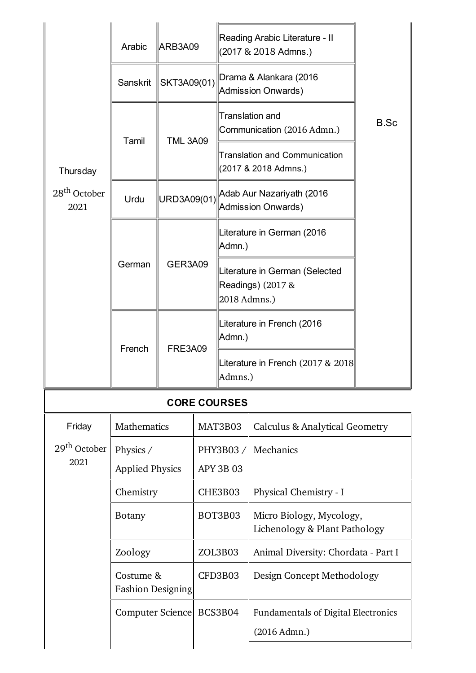|                                  | Arabic                                           | ARB3A09         |                  | Reading Arabic Literature - II<br>(2017 & 2018 Admns.)              |                                                              |      |
|----------------------------------|--------------------------------------------------|-----------------|------------------|---------------------------------------------------------------------|--------------------------------------------------------------|------|
|                                  | Sanskrit                                         | SKT3A09(01)     |                  | Drama & Alankara (2016<br><b>Admission Onwards)</b>                 |                                                              |      |
|                                  | Tamil                                            | <b>TML 3A09</b> |                  | <b>Translation and</b><br>Communication (2016 Admn.)                |                                                              | B.Sc |
| Thursday                         |                                                  |                 |                  |                                                                     | <b>Translation and Communication</b><br>(2017 & 2018 Admns.) |      |
| 28 <sup>th</sup> October<br>2021 | Urdu                                             | URD3A09(01)     |                  |                                                                     | Adab Aur Nazariyath (2016<br><b>Admission Onwards)</b>       |      |
|                                  |                                                  | GER3A09         |                  | Admn.)                                                              | Literature in German (2016                                   |      |
|                                  | German                                           |                 |                  | Literature in German (Selected<br>Readings) (2017 &<br>2018 Admns.) |                                                              |      |
|                                  | French                                           | <b>FRE3A09</b>  |                  | Literature in French (2016<br>Admn.)                                |                                                              |      |
|                                  |                                                  |                 |                  | Literature in French (2017 & 2018)<br>Admns.)                       |                                                              |      |
|                                  |                                                  |                 |                  | <b>CORE COURSES</b>                                                 |                                                              |      |
| Friday                           | <b>Mathematics</b>                               |                 | MAT3B03          |                                                                     | <b>Calculus &amp; Analytical Geometry</b>                    |      |
| 29 <sup>th</sup> October         | Physics /                                        |                 | PHY3B03/         |                                                                     | Mechanics                                                    |      |
| 2021                             | <b>Applied Physics</b>                           |                 | <b>APY 3B 03</b> |                                                                     |                                                              |      |
|                                  | Chemistry                                        |                 | CHE3B03          |                                                                     | Physical Chemistry - I                                       |      |
|                                  | <b>Botany</b>                                    |                 | BOT3B03          |                                                                     | Micro Biology, Mycology,<br>Lichenology & Plant Pathology    |      |
|                                  | Zoology<br>Costume &<br><b>Fashion Designing</b> |                 | ZOL3B03          |                                                                     | Animal Diversity: Chordata - Part I                          |      |
|                                  |                                                  |                 | CFD3B03          |                                                                     | Design Concept Methodology                                   |      |
|                                  | Computer Science                                 |                 | BCS3B04          |                                                                     | <b>Fundamentals of Digital Electronics</b><br>(2016 Admn.)   |      |
|                                  |                                                  |                 |                  |                                                                     |                                                              |      |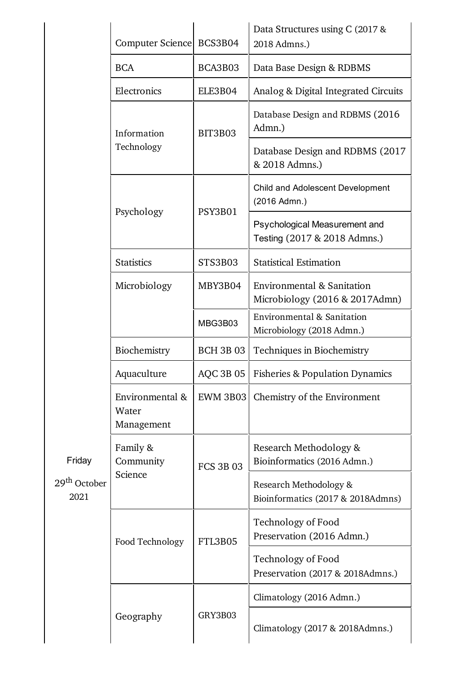|                                            | Computer Science BCS3B04               |                  | Data Structures using C (2017 &<br>2018 Admns.)               |
|--------------------------------------------|----------------------------------------|------------------|---------------------------------------------------------------|
|                                            | <b>BCA</b>                             | BCA3B03          | Data Base Design & RDBMS                                      |
|                                            | Electronics                            | ELE3B04          | Analog & Digital Integrated Circuits                          |
|                                            | Information                            | BIT3B03          | Database Design and RDBMS (2016<br>Admn.)                     |
|                                            | Technology                             |                  | Database Design and RDBMS (2017)<br>& 2018 Admns.)            |
|                                            |                                        |                  | Child and Adolescent Development<br>(2016 Admn.)              |
|                                            | Psychology                             | PSY3B01          | Psychological Measurement and<br>Testing (2017 & 2018 Admns.) |
|                                            | <b>Statistics</b>                      | STS3B03          | <b>Statistical Estimation</b>                                 |
|                                            | Microbiology                           | MBY3B04          | Environmental & Sanitation<br>Microbiology (2016 & 2017Admn)  |
|                                            |                                        | MBG3B03          | Environmental & Sanitation<br>Microbiology (2018 Admn.)       |
|                                            | Biochemistry                           | <b>BCH 3B 03</b> | Techniques in Biochemistry                                    |
|                                            | Aquaculture                            | <b>AQC 3B 05</b> | <b>Fisheries &amp; Population Dynamics</b>                    |
| Friday<br>29 <sup>th</sup> October<br>2021 | Environmental &<br>Water<br>Management | EWM 3B03         | Chemistry of the Environment                                  |
|                                            | Family &<br>Community                  | <b>FCS 3B 03</b> | Research Methodology &<br>Bioinformatics (2016 Admn.)         |
|                                            | Science                                |                  | Research Methodology &<br>Bioinformatics (2017 & 2018Admns)   |
|                                            | Food Technology                        | FTL3B05          | Technology of Food<br>Preservation (2016 Admn.)               |
|                                            |                                        |                  | Technology of Food<br>Preservation (2017 & 2018Admns.)        |
|                                            |                                        |                  | Climatology (2016 Admn.)                                      |
|                                            | Geography                              | GRY3B03          | Climatology (2017 & 2018Admns.)                               |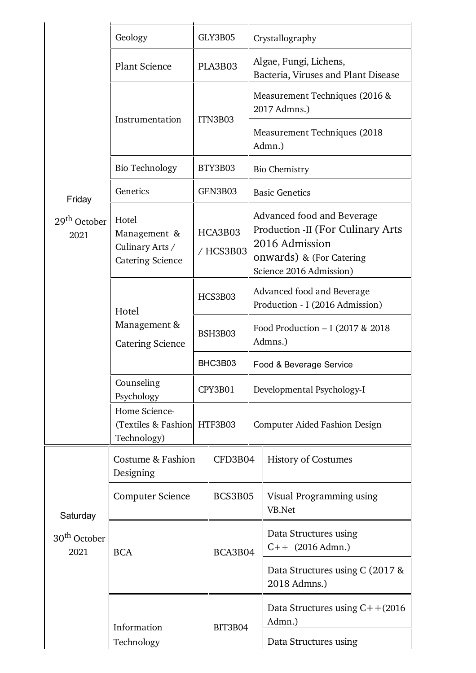|                                  | Geology                                                             |                      | GLY3B05        |                                              | Crystallography                                                                                                                                  |  |
|----------------------------------|---------------------------------------------------------------------|----------------------|----------------|----------------------------------------------|--------------------------------------------------------------------------------------------------------------------------------------------------|--|
|                                  | <b>Plant Science</b>                                                |                      | PLA3B03        |                                              | Algae, Fungi, Lichens,<br>Bacteria, Viruses and Plant Disease                                                                                    |  |
|                                  | Instrumentation                                                     |                      | ITN3B03        |                                              | Measurement Techniques (2016 &<br>2017 Admns.)                                                                                                   |  |
|                                  |                                                                     |                      |                |                                              | Measurement Techniques (2018<br>Admn.)                                                                                                           |  |
|                                  | <b>Bio Technology</b>                                               |                      | BTY3B03        | <b>Bio Chemistry</b>                         |                                                                                                                                                  |  |
| Friday                           | Genetics                                                            |                      | GEN3B03        |                                              | <b>Basic Genetics</b>                                                                                                                            |  |
| 29 <sup>th</sup> October<br>2021 | Hotel<br>Management &<br>Culinary Arts /<br><b>Catering Science</b> | HCA3B03<br>/ HCS3B03 |                |                                              | Advanced food and Beverage<br><b>Production -II (For Culinary Arts)</b><br>2016 Admission<br>onwards) & (For Catering<br>Science 2016 Admission) |  |
|                                  | Hotel                                                               | HCS3B03              |                |                                              | Advanced food and Beverage<br>Production - I (2016 Admission)                                                                                    |  |
|                                  | Management &<br><b>Catering Science</b>                             | BSH3B03              |                | Food Production - I (2017 & 2018)<br>Admns.) |                                                                                                                                                  |  |
|                                  |                                                                     | BHC3B03              |                |                                              | Food & Beverage Service                                                                                                                          |  |
|                                  | Counseling<br>Psychology                                            |                      | CPY3B01        |                                              | Developmental Psychology-I                                                                                                                       |  |
|                                  | Home Science-<br>(Textiles & Fashion HTF3B03<br>Technology)         |                      |                |                                              | <b>Computer Aided Fashion Design</b>                                                                                                             |  |
|                                  | Costume & Fashion<br>Designing                                      |                      | CFD3B04        |                                              | <b>History of Costumes</b>                                                                                                                       |  |
| Saturday                         | <b>Computer Science</b>                                             |                      | BCS3B05        |                                              | Visual Programming using<br>VB.Net                                                                                                               |  |
| 30 <sup>th</sup> October<br>2021 | <b>BCA</b>                                                          |                      | BCA3B04        |                                              | Data Structures using<br>$C++$ (2016 Admn.)                                                                                                      |  |
|                                  |                                                                     |                      |                |                                              | Data Structures using C (2017 &<br>2018 Admns.)                                                                                                  |  |
|                                  | Information<br>Technology                                           |                      | <b>BIT3B04</b> |                                              | Data Structures using $C++(2016)$<br>Admn.)                                                                                                      |  |
|                                  |                                                                     |                      |                |                                              | Data Structures using                                                                                                                            |  |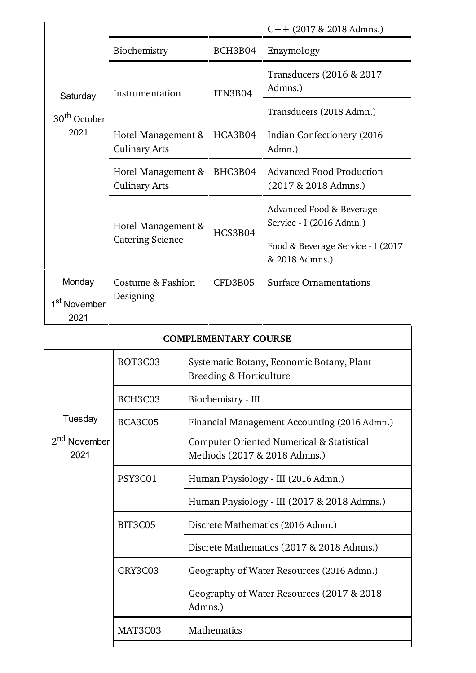|                                  |                                            |                    |                             | $C++$ (2017 & 2018 Admns.)                                                           |  |
|----------------------------------|--------------------------------------------|--------------------|-----------------------------|--------------------------------------------------------------------------------------|--|
| Saturday                         | Biochemistry                               |                    | BCH3B04                     | Enzymology                                                                           |  |
|                                  | Instrumentation                            |                    | ITN3B04                     | Transducers (2016 & 2017<br>Admns.)                                                  |  |
| 30 <sup>th</sup> October         |                                            |                    |                             | Transducers (2018 Admn.)                                                             |  |
| 2021                             | Hotel Management &<br><b>Culinary Arts</b> |                    | HCA3B04                     | Indian Confectionery (2016)<br>Admn.)                                                |  |
|                                  | Hotel Management &<br><b>Culinary Arts</b> |                    | BHC3B04                     | <b>Advanced Food Production</b><br>(2017 & 2018 Admns.)                              |  |
|                                  |                                            | Hotel Management & |                             | Advanced Food & Beverage<br>Service - I (2016 Admn.)                                 |  |
|                                  | <b>Catering Science</b>                    |                    | HCS3B04                     | Food & Beverage Service - I (2017<br>& 2018 Admns.)                                  |  |
| Monday                           | Costume & Fashion                          |                    | CFD3B05                     | <b>Surface Ornamentations</b>                                                        |  |
| 1 <sup>st</sup> November         | Designing                                  |                    |                             |                                                                                      |  |
| 2021                             |                                            |                    |                             |                                                                                      |  |
|                                  |                                            |                    | <b>COMPLEMENTARY COURSE</b> |                                                                                      |  |
|                                  | BOT3C03                                    |                    | Breeding & Horticulture     | Systematic Botany, Economic Botany, Plant                                            |  |
|                                  | BCH3C03                                    |                    | Biochemistry - III          |                                                                                      |  |
| Tuesday                          | BCA3C05                                    |                    |                             | Financial Management Accounting (2016 Admn.)                                         |  |
| 2 <sup>nd</sup> November<br>2021 |                                            |                    |                             | <b>Computer Oriented Numerical &amp; Statistical</b><br>Methods (2017 & 2018 Admns.) |  |
|                                  | PSY3C01                                    |                    |                             | Human Physiology - III (2016 Admn.)                                                  |  |
|                                  |                                            |                    |                             | Human Physiology - III (2017 & 2018 Admns.)                                          |  |
|                                  | BIT3C05                                    |                    |                             | Discrete Mathematics (2016 Admn.)                                                    |  |
|                                  |                                            |                    |                             | Discrete Mathematics (2017 & 2018 Admns.)                                            |  |
|                                  | GRY3C03                                    |                    |                             | Geography of Water Resources (2016 Admn.)                                            |  |
|                                  |                                            | Admns.)            |                             | Geography of Water Resources (2017 & 2018)                                           |  |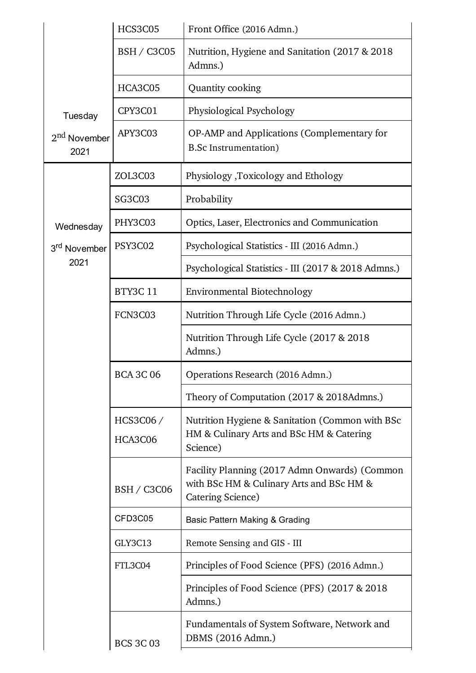|                                  | <b>HCS3C05</b>      | Front Office (2016 Admn.)                                                                                      |  |  |  |
|----------------------------------|---------------------|----------------------------------------------------------------------------------------------------------------|--|--|--|
|                                  | <b>BSH / C3C05</b>  | Nutrition, Hygiene and Sanitation (2017 & 2018)<br>Admns.)                                                     |  |  |  |
|                                  | HCA3C05             | Quantity cooking                                                                                               |  |  |  |
| Tuesday                          | CPY3C01             | Physiological Psychology                                                                                       |  |  |  |
| 2 <sup>nd</sup> November<br>2021 | APY3C03             | OP-AMP and Applications (Complementary for<br><b>B.Sc Instrumentation</b> )                                    |  |  |  |
|                                  | ZOL3C03             | Physiology ,Toxicology and Ethology                                                                            |  |  |  |
|                                  | <b>SG3C03</b>       | Probability                                                                                                    |  |  |  |
| Wednesday                        | PHY3C03             | Optics, Laser, Electronics and Communication                                                                   |  |  |  |
| 3 <sup>rd</sup> November         | PSY3C02             | Psychological Statistics - III (2016 Admn.)                                                                    |  |  |  |
| 2021                             |                     | Psychological Statistics - III (2017 & 2018 Admns.)                                                            |  |  |  |
|                                  | <b>BTY3C11</b>      | <b>Environmental Biotechnology</b>                                                                             |  |  |  |
|                                  | FCN3C03             | Nutrition Through Life Cycle (2016 Admn.)                                                                      |  |  |  |
|                                  |                     | Nutrition Through Life Cycle (2017 & 2018)<br>Admns.)                                                          |  |  |  |
|                                  | <b>BCA 3C 06</b>    | Operations Research (2016 Admn.)                                                                               |  |  |  |
|                                  |                     | Theory of Computation (2017 & 2018Admns.)                                                                      |  |  |  |
|                                  | HCS3C06/<br>HCA3C06 | Nutrition Hygiene & Sanitation (Common with BSc<br>HM & Culinary Arts and BSc HM & Catering<br>Science)        |  |  |  |
|                                  | <b>BSH / C3C06</b>  | Facility Planning (2017 Admn Onwards) (Common<br>with BSc HM & Culinary Arts and BSc HM &<br>Catering Science) |  |  |  |
|                                  | CFD3C05             | Basic Pattern Making & Grading                                                                                 |  |  |  |
|                                  | GLY3C13             | Remote Sensing and GIS - III                                                                                   |  |  |  |
|                                  | FTL3C04             | Principles of Food Science (PFS) (2016 Admn.)                                                                  |  |  |  |
|                                  |                     | Principles of Food Science (PFS) (2017 & 2018)<br>Admns.)                                                      |  |  |  |
|                                  | <b>BCS 3C 03</b>    | Fundamentals of System Software, Network and<br>DBMS (2016 Admn.)                                              |  |  |  |